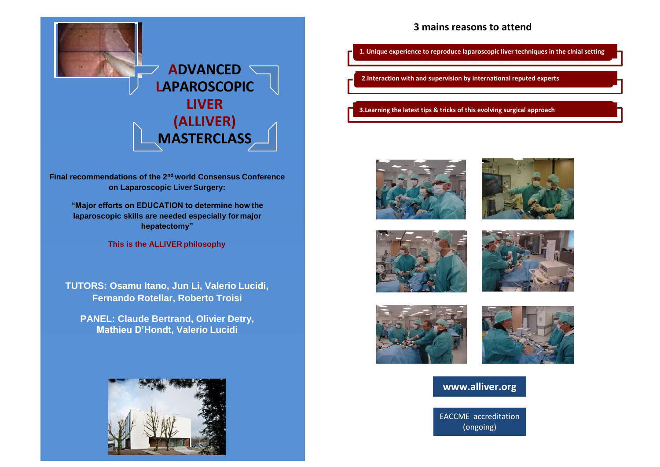

**Final recommendations of the 2nd world Consensus Conference on Laparoscopic Liver Surgery:**

**"Major efforts on EDUCATION to determine how the laparoscopic skills are needed especially for major hepatectomy"**

**This is the ALLIVER philosophy**

**TUTORS: Osamu Itano, Jun Li, Valerio Lucidi, Fernando Rotellar, Roberto Troisi**

**PANEL: Claude Bertrand, Olivier Detry, Mathieu D'Hondt, Valerio Lucidi**



## **3 mains reasons to attend**

**1. Unique experience to reproduce laparoscopic liver techniques in the clnial setting**

**2.Interaction with and supervision by international reputed experts**

**3.Learning the latest tips & tricks of this evolving surgical approach**













# **www.alliver.org**

EACCME accreditation (ongoing)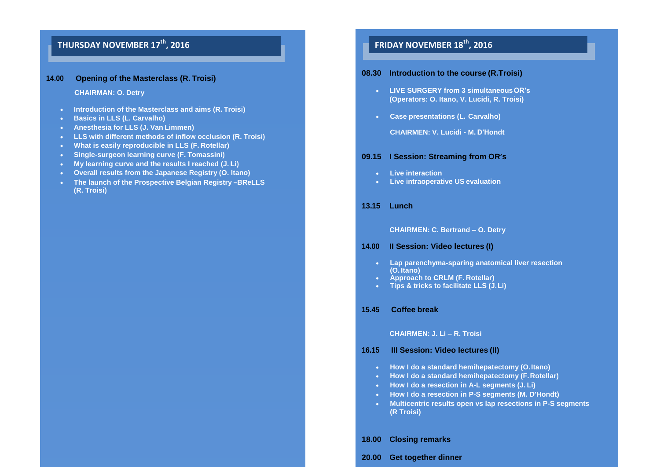# **FRIDAY NOVEMBER 17<sup>th</sup>, 2016 THURSDAY NOVEMBER 18<sup>th</sup>, 2016**

### **14.00 Opening of the Masterclass (R. Troisi)**

#### **CHAIRMAN: O. Detry**

- **Introduction of the Masterclass and aims (R. Troisi)**
- **Basics in LLS (L. Carvalho)**
- **Anesthesia for LLS (J. Van Limmen)**
- **LLS with different methods of inflow occlusion (R. Troisi)**
- **What is easily reproducible in LLS (F. Rotellar)**
- **Single-surgeon learning curve (F. Tomassini)**
- **My learning curve and the results I reached (J. Li)**
- **Overall results from the Japanese Registry (O. Itano)**
- **The launch of the Prospective Belgian Registry –BReLLS (R. Troisi)**

### **08.30 Introduction to the course (R.Troisi)**

- **LIVE SURGERY from 3 simultaneousOR's (Operators: O. Itano, V. Lucidi, R. Troisi)**
- **Case presentations (L. Carvalho)**

**CHAIRMEN: V. Lucidi - M. D'Hondt**

### **09.15 I Session: Streaming from OR's**

- **Live interaction**
- **Live intraoperative US evaluation**

#### **13.15 Lunch**

**CHAIRMEN: C. Bertrand – O. Detry**

### **14.00 II Session: Video lectures (I)**

- **Lap parenchyma-sparing anatomical liver resection (O. Itano)**
- **Approach to CRLM (F. Rotellar)**
- **Tips & tricks to facilitate LLS (J.Li)**

#### **15.45 Coffee break**

#### **CHAIRMEN: J. Li – R. Troisi**

#### **16.15 III Session: Video lectures (II)**

- **How I do a standard hemihepatectomy (O.Itano)**
- **How I do a standard hemihepatectomy (F.Rotellar)**
- **How I do a resection in A-L segments (J. Li)**
- **How I do a resection in P-S segments (M. D'Hondt)**
- **Multicentric results open vs lap resections in P-S segments (R Troisi)**

### **18.00 Closing remarks**

#### **20.00 Get together dinner**